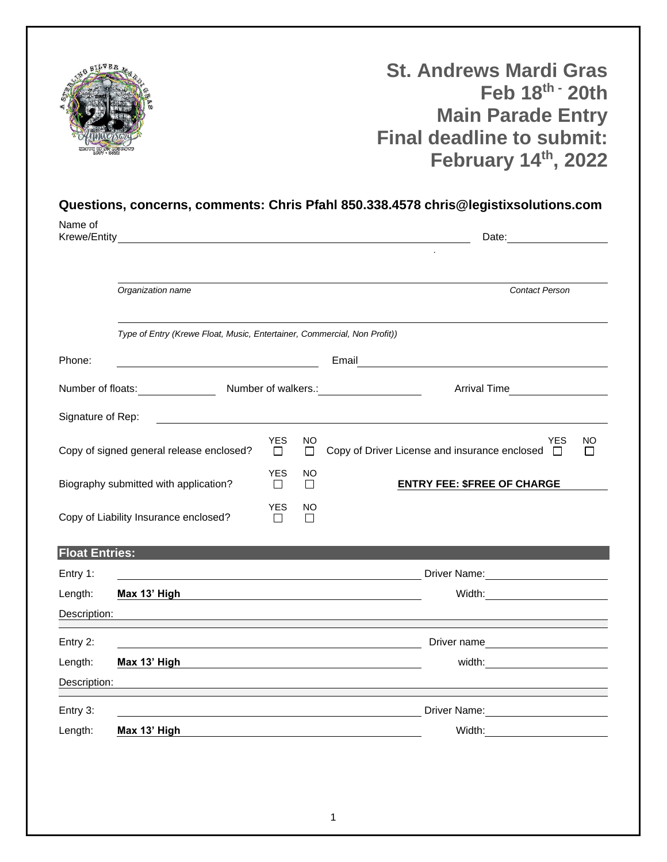

**St. Andrews Mardi Gras Feb 18th - 20th Main Parade Entry Final deadline to submit: February 14th, 2022**

## **Questions, concerns, comments: Chris Pfahl 850.338.4578 chris@legistixsolutions.com**

| Name of<br>Krewe/Entity                                                  |                                                     |                 |          | Date: <u>_____</u>                                                                                                                                        |  |
|--------------------------------------------------------------------------|-----------------------------------------------------|-----------------|----------|-----------------------------------------------------------------------------------------------------------------------------------------------------------|--|
|                                                                          |                                                     |                 |          |                                                                                                                                                           |  |
| Organization name                                                        |                                                     |                 |          | <b>Contact Person</b>                                                                                                                                     |  |
| Type of Entry (Krewe Float, Music, Entertainer, Commercial, Non Profit)) |                                                     |                 |          |                                                                                                                                                           |  |
| Phone:                                                                   | <u> 1989 - Johann Barn, mars eta biztanleria (</u>  |                 |          |                                                                                                                                                           |  |
| Number of floats: Number of walkers.: Number of walkers                  |                                                     |                 |          | Arrival Time<br><u> </u>                                                                                                                                  |  |
| Signature of Rep:                                                        | <u> 1980 - Johann Stein, marwolaethau (b. 1980)</u> |                 |          |                                                                                                                                                           |  |
|                                                                          | Copy of signed general release enclosed?            | <b>YES</b><br>П | NO<br>П  | <b>YES</b><br>NO<br>Copy of Driver License and insurance enclosed $\Box$<br>П                                                                             |  |
| <b>YES</b><br>Biography submitted with application?<br>$\Box$<br>$\perp$ |                                                     |                 | NO.      | <b>ENTRY FEE: \$FREE OF CHARGE</b>                                                                                                                        |  |
| <b>YES</b><br>Copy of Liability Insurance enclosed?<br>П                 |                                                     |                 | NO.<br>П |                                                                                                                                                           |  |
| <b>Float Entries:</b>                                                    |                                                     |                 |          |                                                                                                                                                           |  |
| Entry 1:                                                                 |                                                     |                 |          |                                                                                                                                                           |  |
| Length:                                                                  | Max 13' High                                        |                 |          | Width:____________________________<br><u> 1989 - Johann Barbara, markazi bashkar a shekara ta 1989 - André a shekara ta 1989 - André a shekara ta 198</u> |  |
| Description:                                                             |                                                     |                 |          |                                                                                                                                                           |  |
| Entry 2:                                                                 |                                                     |                 |          | Driver name<br><u> 1980 - Johann Barbara, martin amerikan basal dan berasal dalam basal dan berasal dan berasal dan berasal dan</u>                       |  |
| Length:                                                                  | Max 13' High                                        |                 |          | width: $\qquad \qquad \qquad$                                                                                                                             |  |
| Description:                                                             |                                                     |                 |          |                                                                                                                                                           |  |
| Entry 3:                                                                 |                                                     |                 |          | Driver Name:<br><u> </u><br><u> 1989 - Johann Stoff, deutscher Stoffen und der Stoffen und der Stoffen und der Stoffen und der Stoffen und der</u>        |  |
| Length:                                                                  | Max 13' High                                        |                 |          | Width:<br><u> 1980 - Jan Samuel Barbara, politik eta politik eta politik eta politik eta politik eta politik eta politik e</u>                            |  |